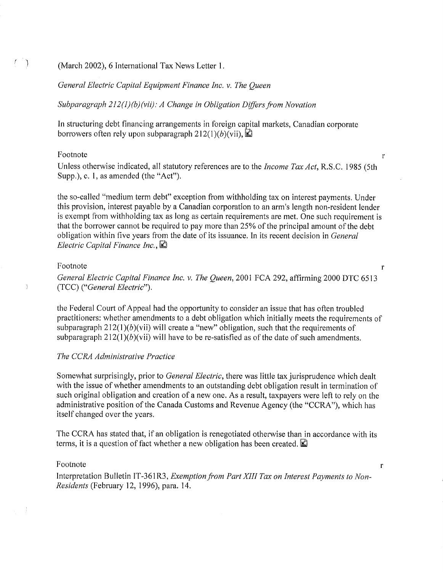### (March 2002), 6 International Tax News Letter 1.

# General Electric Capital Equipment Finance Inc. v. The Queen

Subparagraph 212(1)(b)(vii): A Change in Obligation Differs from Novation

In structuring debt financing arrangements in foreign capital markets, Canadian corporate borrowers often rely upon subparagraph 212(1)(b)(vii),  $\Box$ 

#### Footnote

 $($ 

Unless otherwise indicated, all statutory references are to the *Income Tax Act*, R.S.C. 1985 (5th Supp.), c. 1, as amended (the "Act").

 $\mathbf{r}$ 

 $\mathbf{r}$ 

 $\mathbf{r}$ 

the so-called "medium term debt" exception from withholding tax on interest payments. Under this provision, interest payable by a Canadian corporation to an arm's length non-resident lender is exempt from withholding tax as long as certain requirements are met. One such requirement is that the borrower cannot be required to pay more than 25% of the principal amount of the debt obligation within five years from the date of its issuance. In its recent decision in *General* Electric Capital Finance Inc.,  $\blacksquare$ 

## Footnote

General Electric Capital Finance Inc. v. The Queen, 2001 FCA 292, affirming 2000 DTC 6513 (TCC) ("General Electric").

the Federal Court of Appeal had the opportunity to consider an issue that has often troubled practitioners: whether amendments to a debt obligation which initially meets the requirements of subparagraph  $212(1)(b)(vii)$  will create a "new" obligation, such that the requirements of subparagraph  $212(1)(b)(vii)$  will have to be re-satisfied as of the date of such amendments.

# The CCRA Administrative Practice

Somewhat surprisingly, prior to General Electric, there was little tax jurisprudence which dealt with the issue of whether amendments to an outstanding debt obligation result in termination of such original obligation and creation of a new one. As a result, taxpayers were left to rely on the administrative position of the Canada Customs and Revenue Agency (the "CCRA"), which has itself changed over the years.

The CCRA has stated that, if an obligation is renegotiated otherwise than in accordance with its terms, it is a question of fact whether a new obligation has been created.  $\Box$ 

#### Footnote

Interpretation Bulletin IT-361R3, Exemption from Part XIII Tax on Interest Payments to Non-Residents (February 12, 1996), para. 14.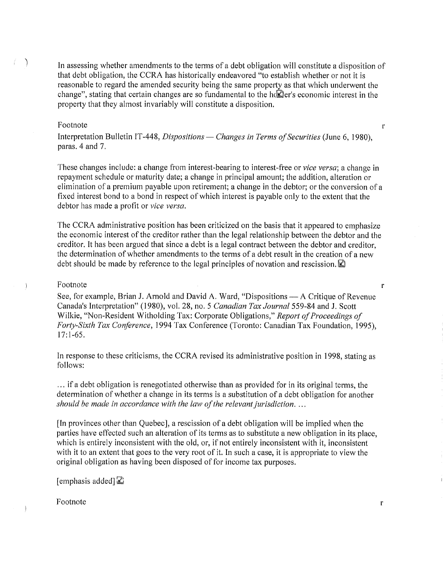In assessing whether amendments to the terms of a debt obligation will constitute a disposition of that debt obligation, the CCRA has historically endeavored "to establish whether or not it is reasonable to regard the amended security being the same property as that which underwent the change", stating that certain changes are so fundamental to the holder's economic interest in the property that they almost invariably will constitute a disposition,

#### Footnote

Ť.  $\rightarrow$ 

> Interpretation Bulletin IT-448, *Dispositions* — *Changes in Terms of Securities* (June 6, 1980), paras. 4 and 7.

These changes include: a change from interest-bearing to interest-free or *vice versa*; a change in repayment schedule or maturity date; a change in principal amount; the addition, alteration or elimination of a premium payable upon retirement; a change in the debtor; or the conversion of a fixed interest bond to a bond in respect of which interest is payable only to the extent that the debtor has made a profit or vice versa.

The CCRA administrative position has been criticized on the basis that it appeared to emphasize the economic interest of the creditor rather than the legal relationship between the debtor and the creditor. It has been argued that since a debt is a legal contract between the debtor and creditor, the determination of whether amendments to the terms of a debt result in the creation of a new debt should be made by reference to the legal principles of novation and rescission.  $\mathbb{\mathbb{Z}}$ 

# Footnote

 $\lambda$ 

See, for example, Brian J. Arnold and David A. Ward, "Dispositions — A Critique of Revenue Canada's Interpretation" (1980), vol. 28, no. 5 Canadian Tax Journal 559-84 and J. Scott Wilkie, "Non-Resident Witholding Tax: Corporate Obligations," Report of Proceedings of Forty-Sixth Tax Conference, 1994 Tax Conference (Toronto: Canadian Tax Foundation, 1995),  $17:1-65.$ 

In response to these criticisms, the CCRA revised its administrative position in 1998, stating as follows:

if a debt obligation is renegotiated otherwise than as provided for in its original terms, the determination of whether a change in its terms is a substitution of a debt obligation for another should be made in accordance with the law of the relevant jurisdiction...

[In provinces other than Quebec], a rescission of a debt obligation will be implied when the parties have effected such an alteration of its terms as to substitute a new obligation in its place, which is entirely inconsistent with the old, or, if not entirely inconsistent with it, inconsistent with it to an extent that goes to the very root of it. In such a case, it is appropriate to view the original obligation as having been disposed of for income tax purposes.

[emphasis added]  $\Xi$ 

Footnote

 $\mathbf{r}$ 

 $\mathbf{r}$ 

 $\mathbf{r}$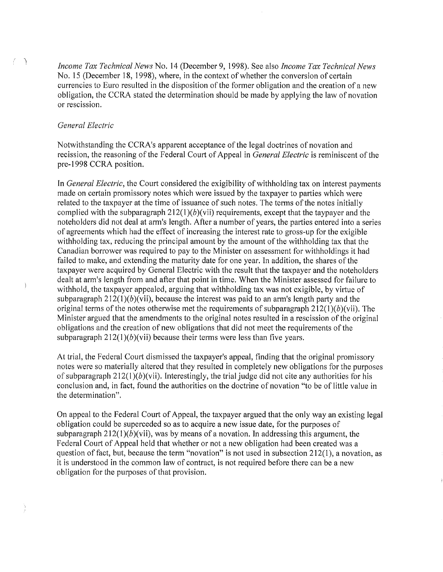Income Tax Technical News No. 14 (December 9, 1998). See also Income Tax Technical News No. 15 (December 18, 1998), where, in the context of whether the conversion of certain currencies to Euro resulted in the disposition of the former obligation and the creation of a new obligation, the CCRA stated the determination should be made by applying the law of novation or rescission.

# General Electric

 $\left\langle \cdot \right\rangle$ 

 $\overline{\phantom{a}}$ 

Notwithstanding the CCRA's apparent acceptance of the legal doctrines of novation and recission, the reasoning of the Federal Court of Appeal in *General Electric* is reminiscent of the pre-1998 CCRA position.

In *General Electric*, the Court considered the exigibility of withholding tax on interest payments made on certain promissory notes which were issued by the taxpayer to parties which were related to the taxpayer at the time of issuance of such notes. The terms of the notes initially complied with the subparagraph  $212(1)(b)(vii)$  requirements, except that the taypayer and the noteholders did not deal at arm's length. After a number of years, the parties entered into a series of agreements which had the effect of increasing the interest rate to gross-up for the exigible withholding tax, reducing the principal amount by the amount of the withholding tax that the Canadian borrower was required to pay to the Minister on assessment for withholdings it had failed to make, and extending the maturity date for one year. In addition, the shares of the taxpayer were acquired by General Electric with the result that the taxpayer and the noteholders dealt at arm's length from and after that point in time. When the Minister assessed for failure to withhold, the taxpayer appealed, arguing that withholding tax was not exigible, by virtue of subparagraph  $212(1)(b)$ (vii), because the interest was paid to an arm's length party and the original terms of the notes otherwise met the requirements of subparagraph  $212(1)(b)(vii)$ . The Minister argued that the amendments to the original notes resulted in a rescission of the original obligations and the creation of new obligations that did not meet the requirements of the subparagraph  $212(1)(b)(vii)$  because their terms were less than five years.

At trial, the Federal Court dismissed the taxpayer's appeal, finding that the original promissory notes were so materially altered that they resulted in completely new obligations for the purposes of subparagraph  $212(1)(b)(vii)$ . Interestingly, the trial judge did not cite any authorities for his conclusion and, in fact, found the authorities on the doctrine of novation "to be of little value in the determination".

On appeal to the Federal Court of Appeal, the taxpayer argued that the only way an existing legal obligation could be superceded so as to acquire a new issue date, for the purposes of subparagraph  $212(1)(b)(vii)$ , was by means of a novation. In addressing this argument, the Federal Court of Appeal held that whether or not a new obligation had been created was a question of fact, but, because the term "novation" is not used in subsection 212(1), a novation, as it is understood in the common law of contract, is not required before there can be a new obligation for the purposes of that provision.